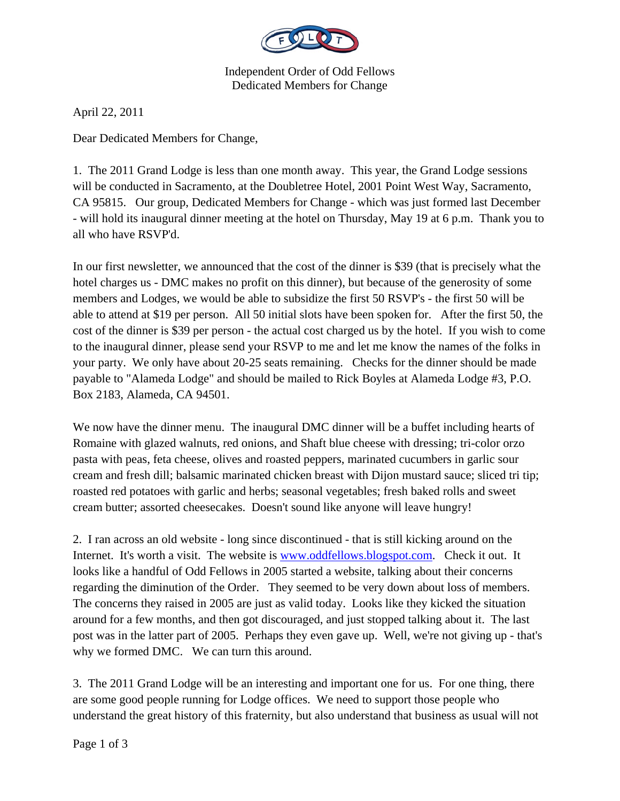

Independent Order of Odd Fellows Dedicated Members for Change

April 22, 2011

Dear Dedicated Members for Change,

1. The 2011 Grand Lodge is less than one month away. This year, the Grand Lodge sessions will be conducted in Sacramento, at the Doubletree Hotel, 2001 Point West Way, Sacramento, CA 95815. Our group, Dedicated Members for Change - which was just formed last December - will hold its inaugural dinner meeting at the hotel on Thursday, May 19 at 6 p.m. Thank you to all who have RSVP'd.

In our first newsletter, we announced that the cost of the dinner is \$39 (that is precisely what the hotel charges us - DMC makes no profit on this dinner), but because of the generosity of some members and Lodges, we would be able to subsidize the first 50 RSVP's - the first 50 will be able to attend at \$19 per person. All 50 initial slots have been spoken for. After the first 50, the cost of the dinner is \$39 per person - the actual cost charged us by the hotel. If you wish to come to the inaugural dinner, please send your RSVP to me and let me know the names of the folks in your party. We only have about 20-25 seats remaining. Checks for the dinner should be made payable to "Alameda Lodge" and should be mailed to Rick Boyles at Alameda Lodge #3, P.O. Box 2183, Alameda, CA 94501.

We now have the dinner menu. The inaugural DMC dinner will be a buffet including hearts of Romaine with glazed walnuts, red onions, and Shaft blue cheese with dressing; tri-color orzo pasta with peas, feta cheese, olives and roasted peppers, marinated cucumbers in garlic sour cream and fresh dill; balsamic marinated chicken breast with Dijon mustard sauce; sliced tri tip; roasted red potatoes with garlic and herbs; seasonal vegetables; fresh baked rolls and sweet cream butter; assorted cheesecakes. Doesn't sound like anyone will leave hungry!

2. I ran across an old website - long since discontinued - that is still kicking around on the Internet. It's worth a visit. The website is www.oddfellows.blogspot.com. Check it out. It looks like a handful of Odd Fellows in 2005 started a website, talking about their concerns regarding the diminution of the Order. They seemed to be very down about loss of members. The concerns they raised in 2005 are just as valid today. Looks like they kicked the situation around for a few months, and then got discouraged, and just stopped talking about it. The last post was in the latter part of 2005. Perhaps they even gave up. Well, we're not giving up - that's why we formed DMC. We can turn this around.

3. The 2011 Grand Lodge will be an interesting and important one for us. For one thing, there are some good people running for Lodge offices. We need to support those people who understand the great history of this fraternity, but also understand that business as usual will not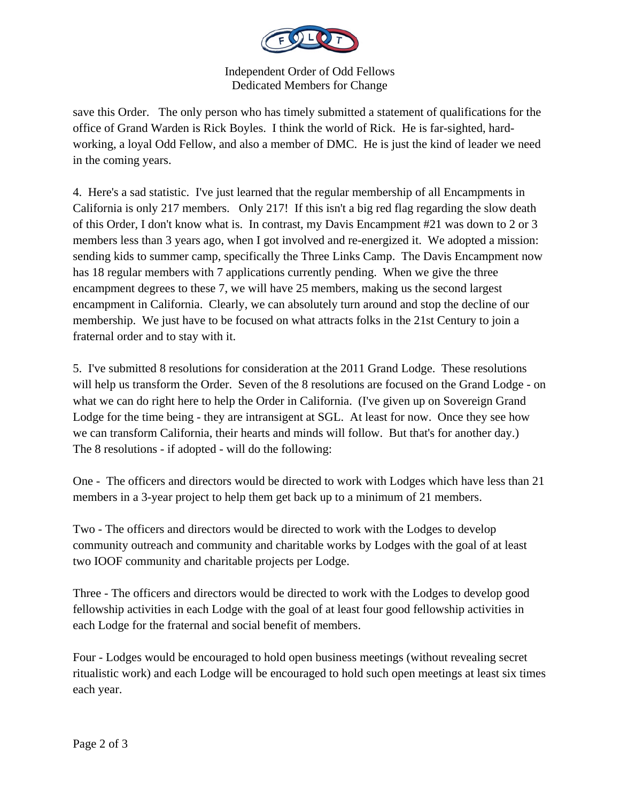

Independent Order of Odd Fellows Dedicated Members for Change

save this Order. The only person who has timely submitted a statement of qualifications for the office of Grand Warden is Rick Boyles. I think the world of Rick. He is far-sighted, hardworking, a loyal Odd Fellow, and also a member of DMC. He is just the kind of leader we need in the coming years.

4. Here's a sad statistic. I've just learned that the regular membership of all Encampments in California is only 217 members. Only 217! If this isn't a big red flag regarding the slow death of this Order, I don't know what is. In contrast, my Davis Encampment #21 was down to 2 or 3 members less than 3 years ago, when I got involved and re-energized it. We adopted a mission: sending kids to summer camp, specifically the Three Links Camp. The Davis Encampment now has 18 regular members with 7 applications currently pending. When we give the three encampment degrees to these 7, we will have 25 members, making us the second largest encampment in California. Clearly, we can absolutely turn around and stop the decline of our membership. We just have to be focused on what attracts folks in the 21st Century to join a fraternal order and to stay with it.

5. I've submitted 8 resolutions for consideration at the 2011 Grand Lodge. These resolutions will help us transform the Order. Seven of the 8 resolutions are focused on the Grand Lodge - on what we can do right here to help the Order in California. (I've given up on Sovereign Grand Lodge for the time being - they are intransigent at SGL. At least for now. Once they see how we can transform California, their hearts and minds will follow. But that's for another day.) The 8 resolutions - if adopted - will do the following:

One - The officers and directors would be directed to work with Lodges which have less than 21 members in a 3-year project to help them get back up to a minimum of 21 members.

Two - The officers and directors would be directed to work with the Lodges to develop community outreach and community and charitable works by Lodges with the goal of at least two IOOF community and charitable projects per Lodge.

Three - The officers and directors would be directed to work with the Lodges to develop good fellowship activities in each Lodge with the goal of at least four good fellowship activities in each Lodge for the fraternal and social benefit of members.

Four - Lodges would be encouraged to hold open business meetings (without revealing secret ritualistic work) and each Lodge will be encouraged to hold such open meetings at least six times each year.